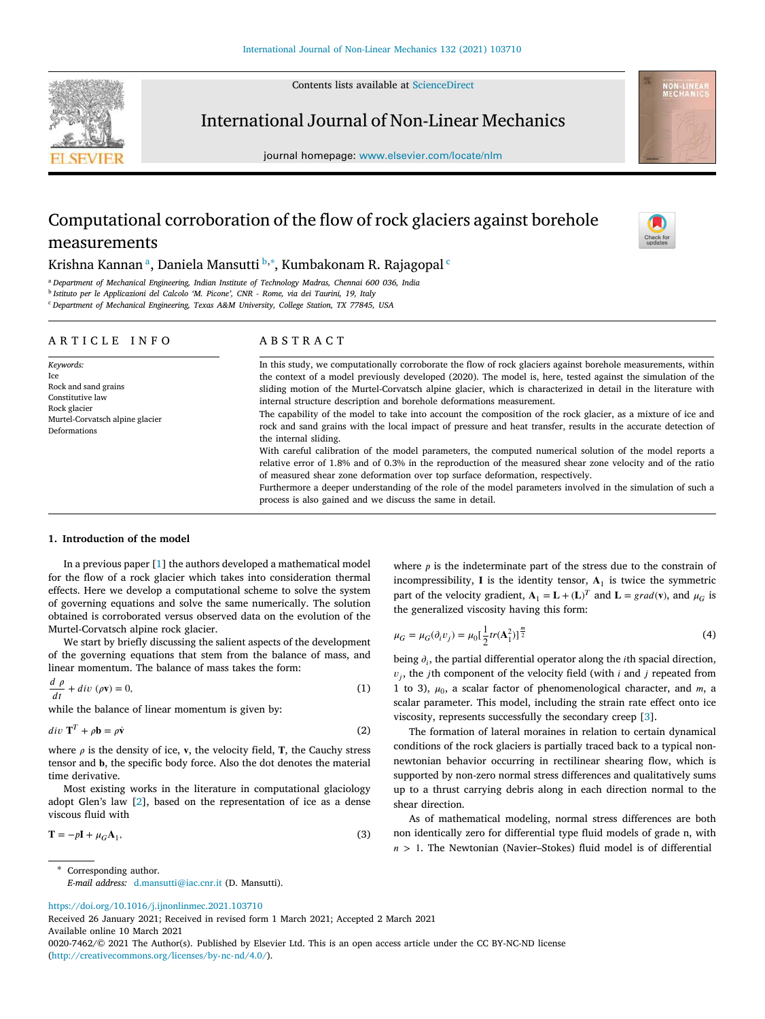Contents lists available at [ScienceDirect](http://www.elsevier.com/locate/nlm)



International Journal of Non-Linear Mechanics

journal homepage: [www.elsevier.com/locate/nlm](http://www.elsevier.com/locate/nlm)





# Krishn[a](#page-0-0) Kannanª, Daniela Mansutti <sup>[b](#page-0-1),[∗](#page-0-2)</sup>, Kumbakonam R. Rajagopal <sup>[c](#page-0-3)</sup>

<span id="page-0-0"></span><sup>a</sup> *Department of Mechanical Engineering, Indian Institute of Technology Madras, Chennai 600 036, India*

<span id="page-0-1"></span>b *Istituto per le Applicazioni del Calcolo 'M. Picone', CNR - Rome, via dei Taurini, 19, Italy*

<span id="page-0-3"></span><sup>c</sup> *Department of Mechanical Engineering, Texas A&M University, College Station, TX 77845, USA*

| ARTICLE INFO                                                                                                                    | ABSTRACT                                                                                                                                                                                                                                                                                                                                                                                                                                                                                                                                                                                                                                                                             |
|---------------------------------------------------------------------------------------------------------------------------------|--------------------------------------------------------------------------------------------------------------------------------------------------------------------------------------------------------------------------------------------------------------------------------------------------------------------------------------------------------------------------------------------------------------------------------------------------------------------------------------------------------------------------------------------------------------------------------------------------------------------------------------------------------------------------------------|
| Keywords:<br>Ice<br>Rock and sand grains<br>Constitutive law<br>Rock glacier<br>Murtel-Corvatsch alpine glacier<br>Deformations | In this study, we computationally corroborate the flow of rock glaciers against borehole measurements, within<br>the context of a model previously developed (2020). The model is, here, tested against the simulation of the<br>sliding motion of the Murtel-Corvatsch alpine glacier, which is characterized in detail in the literature with<br>internal structure description and borehole deformations measurement.<br>The capability of the model to take into account the composition of the rock glacier, as a mixture of ice and<br>rock and sand grains with the local impact of pressure and heat transfer, results in the accurate detection of<br>the internal sliding. |
|                                                                                                                                 | With careful calibration of the model parameters, the computed numerical solution of the model reports a<br>relative error of 1.8% and of 0.3% in the reproduction of the measured shear zone velocity and of the ratio<br>of measured shear zone deformation over top surface deformation, respectively.<br>Furthermore a deeper understanding of the role of the model parameters involved in the simulation of such a<br>process is also gained and we discuss the same in detail.                                                                                                                                                                                                |

#### **1. Introduction of the model**

In a previous paper[[1](#page-9-0)] the authors developed a mathematical model for the flow of a rock glacier which takes into consideration thermal effects. Here we develop a computational scheme to solve the system of governing equations and solve the same numerically. The solution obtained is corroborated versus observed data on the evolution of the Murtel-Corvatsch alpine rock glacier.

We start by briefly discussing the salient aspects of the development of the governing equations that stem from the balance of mass, and linear momentum. The balance of mass takes the form:

$$
\frac{d}{dt}\rho + div \ (\rho \mathbf{v}) = 0,\tag{1}
$$

while the balance of linear momentum is given by:

$$
div \; \mathbf{T}^T + \rho \mathbf{b} = \rho \dot{\mathbf{v}} \tag{2}
$$

where  $\rho$  is the density of ice, v, the velocity field, T, the Cauchy stress tensor and b, the specific body force. Also the dot denotes the material time derivative.

Most existing works in the literature in computational glaciology adopt Glen's law [\[2\]](#page-9-1), based on the representation of ice as a dense viscous fluid with

$$
\mathbf{T} = -p\mathbf{I} + \mu_G \mathbf{A}_1,\tag{3}
$$

<span id="page-0-2"></span>Corresponding author. *E-mail address:* [d.mansutti@iac.cnr.it](mailto:d.mansutti@iac.cnr.it) (D. Mansutti).

<https://doi.org/10.1016/j.ijnonlinmec.2021.103710>

Received 26 January 2021; Received in revised form 1 March 2021; Accepted 2 March 2021 Available online 10 March 2021

0020-7462/© 2021 The Author(s). Published by Elsevier Ltd. This is an open access article under the CC BY-NC-ND license [\(http://creativecommons.org/licenses/by-nc-nd/4.0/\)](http://creativecommons.org/licenses/by-nc-nd/4.0/).

where  $p$  is the indeterminate part of the stress due to the constrain of incompressibility,  $I$  is the identity tensor,  $A_1$  is twice the symmetric part of the velocity gradient,  $\mathbf{A}_1 = \mathbf{L} + (\mathbf{L})^T$  and  $\mathbf{L} = grad(\mathbf{v})$ , and  $\mu_G$  is the generalized viscosity having this form:

<span id="page-0-4"></span>
$$
\mu_G = \mu_G(\partial_i v_j) = \mu_0 \left[\frac{1}{2} tr(\mathbf{A}_1^2)\right]^{\frac{m}{2}}
$$
(4)

being  $\partial_i$ , the partial differential operator along the *i*th spacial direction,  $v_j$ , the *j*th component of the velocity field (with *i* and *j* repeated from 1 to 3),  $\mu_0$ , a scalar factor of phenomenological character, and  $m$ , a scalar parameter. This model, including the strain rate effect onto ice viscosity, represents successfully the secondary creep[[3](#page-9-2)].

The formation of lateral moraines in relation to certain dynamical conditions of the rock glaciers is partially traced back to a typical nonnewtonian behavior occurring in rectilinear shearing flow, which is supported by non-zero normal stress differences and qualitatively sums up to a thrust carrying debris along in each direction normal to the shear direction.

<span id="page-0-5"></span>As of mathematical modeling, normal stress differences are both non identically zero for differential type fluid models of grade n, with  *>* 1. The Newtonian (Navier–Stokes) fluid model is of differential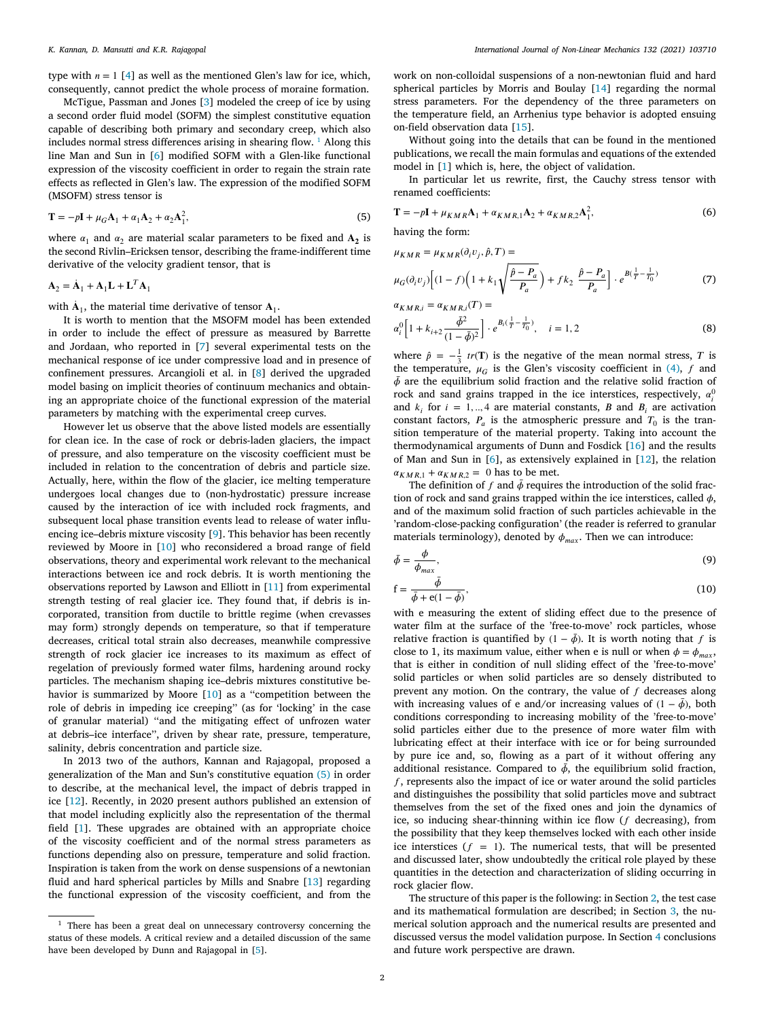type with  $n = 1$  [[4](#page-9-3)] as well as the mentioned Glen's law for ice, which, consequently, cannot predict the whole process of moraine formation.

McTigue, Passman and Jones[[3](#page-9-2)] modeled the creep of ice by using a second order fluid model (SOFM) the simplest constitutive equation capable of describing both primary and secondary creep, which also includes normal stress differences arising in shearing flow.  $1$  Along this line Man and Sun in [\[6](#page-9-4)] modified SOFM with a Glen-like functional expression of the viscosity coefficient in order to regain the strain rate effects as reflected in Glen's law. The expression of the modified SOFM (MSOFM) stress tensor is

$$
\mathbf{T} = -p\mathbf{I} + \mu_G \mathbf{A}_1 + \alpha_1 \mathbf{A}_2 + \alpha_2 \mathbf{A}_1^2,\tag{5}
$$

where  $\alpha_1$  and  $\alpha_2$  are material scalar parameters to be fixed and  $A_2$  is the second Rivlin–Ericksen tensor, describing the frame-indifferent time derivative of the velocity gradient tensor, that is

$$
\mathbf{A}_2 = \dot{\mathbf{A}}_1 + \mathbf{A}_1 \mathbf{L} + \mathbf{L}^T \mathbf{A}_1
$$

with  $\dot{A}_1$ , the material time derivative of tensor  $A_1$ .

It is worth to mention that the MSOFM model has been extended in order to include the effect of pressure as measured by Barrette and Jordaan, who reported in [\[7\]](#page-9-5) several experimental tests on the mechanical response of ice under compressive load and in presence of confinement pressures. Arcangioli et al. in [\[8\]](#page-9-6) derived the upgraded model basing on implicit theories of continuum mechanics and obtaining an appropriate choice of the functional expression of the material parameters by matching with the experimental creep curves.

However let us observe that the above listed models are essentially for clean ice. In the case of rock or debris-laden glaciers, the impact of pressure, and also temperature on the viscosity coefficient must be included in relation to the concentration of debris and particle size. Actually, here, within the flow of the glacier, ice melting temperature undergoes local changes due to (non-hydrostatic) pressure increase caused by the interaction of ice with included rock fragments, and subsequent local phase transition events lead to release of water influencing ice–debris mixture viscosity[[9](#page-9-7)]. This behavior has been recently reviewed by Moore in [\[10](#page-10-0)] who reconsidered a broad range of field observations, theory and experimental work relevant to the mechanical interactions between ice and rock debris. It is worth mentioning the observations reported by Lawson and Elliott in[[11\]](#page-10-1) from experimental strength testing of real glacier ice. They found that, if debris is incorporated, transition from ductile to brittle regime (when crevasses may form) strongly depends on temperature, so that if temperature decreases, critical total strain also decreases, meanwhile compressive strength of rock glacier ice increases to its maximum as effect of regelation of previously formed water films, hardening around rocky particles. The mechanism shaping ice–debris mixtures constitutive behavior is summarized by Moore[[10\]](#page-10-0) as a ''competition between the role of debris in impeding ice creeping'' (as for 'locking' in the case of granular material) ''and the mitigating effect of unfrozen water at debris–ice interface'', driven by shear rate, pressure, temperature, salinity, debris concentration and particle size.

In 2013 two of the authors, Kannan and Rajagopal, proposed a generalization of the Man and Sun's constitutive equation ([5](#page-1-1)) in order to describe, at the mechanical level, the impact of debris trapped in ice[[12\]](#page-10-2). Recently, in 2020 present authors published an extension of that model including explicitly also the representation of the thermal field [\[1\]](#page-9-0). These upgrades are obtained with an appropriate choice of the viscosity coefficient and of the normal stress parameters as functions depending also on pressure, temperature and solid fraction. Inspiration is taken from the work on dense suspensions of a newtonian fluid and hard spherical particles by Mills and Snabre [\[13](#page-10-3)] regarding the functional expression of the viscosity coefficient, and from the

work on non-colloidal suspensions of a non-newtonian fluid and hard spherical particles by Morris and Boulay[[14\]](#page-10-4) regarding the normal stress parameters. For the dependency of the three parameters on the temperature field, an Arrhenius type behavior is adopted ensuing on-field observation data[[15\]](#page-10-5).

<span id="page-1-0"></span>Without going into the details that can be found in the mentioned publications, we recall the main formulas and equations of the extended model in [\[1\]](#page-9-0) which is, here, the object of validation.

In particular let us rewrite, first, the Cauchy stress tensor with renamed coefficients:

<span id="page-1-1"></span>
$$
T = -pI + \mu_{KMR}A_1 + \alpha_{KMR,1}A_2 + \alpha_{KMR,2}A_1^2,
$$
\n(6)

having the form:

<span id="page-1-2"></span>
$$
\mu_{KMR} = \mu_{KMR}(\partial_i v_j, \hat{p}, T) =
$$
\n
$$
\mu_G(\partial_i v_j) \left[ (1 - f) \left( 1 + k_1 \sqrt{\frac{\hat{p} - P_a}{P_a}} \right) + f k_2 \frac{\hat{p} - P_a}{P_a} \right] \cdot e^{B(\frac{1}{T} - \frac{1}{T_0})}
$$
\n(7)

$$
\alpha_{KMR,i} = \alpha_{KMR,i}(T) =
$$
\n
$$
\alpha_i^0 \left[ 1 + k_{i+2} \frac{\bar{\phi}^2}{(1 - \bar{\phi})^2} \right] \cdot e^{B_i(\frac{1}{T} - \frac{1}{T_0})}, \quad i = 1, 2
$$
\n(8)

where  $\hat{p} = -\frac{1}{3}$  *tr*(T) is the negative of the mean normal stress, T is the temperature,  $\mu_G$  is the Glen's viscosity coefficient in [\(4\)](#page-0-4), f and  $\bar{\phi}$  are the equilibrium solid fraction and the relative solid fraction of rock and sand grains trapped in the ice interstices, respectively,  $\alpha_i^C$ and  $k_i$  for  $i = 1, \dots, 4$  are material constants, B and  $B_i$  are activation constant factors,  $P_a$  is the atmospheric pressure and  $T_0$  is the transition temperature of the material property. Taking into account the thermodynamical arguments of Dunn and Fosdick [\[16](#page-10-6)] and the results of Man and Sun in [\[6\]](#page-9-4), as extensively explained in [\[12](#page-10-2)], the relation  $\alpha_{KMR,1} + \alpha_{KMR,2} = 0$  has to be met.

The definition of  $f$  and  $\bar{\phi}$  requires the introduction of the solid fraction of rock and sand grains trapped within the ice interstices, called  $\phi$ , and of the maximum solid fraction of such particles achievable in the 'random-close-packing configuration' (the reader is referred to granular materials terminology), denoted by  $\phi_{max}$ . Then we can introduce:

$$
\bar{\phi} = \frac{\phi}{\phi_{max}},\tag{9}
$$

<span id="page-1-3"></span>
$$
f = \frac{\bar{\phi}}{\bar{\phi} + e(1 - \bar{\phi})},\tag{10}
$$

with e measuring the extent of sliding effect due to the presence of water film at the surface of the 'free-to-move' rock particles, whose relative fraction is quantified by  $(1 - \bar{\phi})$ . It is worth noting that f is close to 1, its maximum value, either when e is null or when  $\phi = \phi_{max}$ , that is either in condition of null sliding effect of the 'free-to-move' solid particles or when solid particles are so densely distributed to prevent any motion. On the contrary, the value of  $f$  decreases along with increasing values of e and/or increasing values of  $(1 - \bar{\phi})$ , both conditions corresponding to increasing mobility of the 'free-to-move' solid particles either due to the presence of more water film with lubricating effect at their interface with ice or for being surrounded by pure ice and, so, flowing as a part of it without offering any additional resistance. Compared to  $\bar{\phi}$ , the equilibrium solid fraction,  $f$ , represents also the impact of ice or water around the solid particles and distinguishes the possibility that solid particles move and subtract themselves from the set of the fixed ones and join the dynamics of ice, so inducing shear-thinning within ice flow  $(f$  decreasing), from the possibility that they keep themselves locked with each other inside ice interstices  $(f = 1)$ . The numerical tests, that will be presented and discussed later, show undoubtedly the critical role played by these quantities in the detection and characterization of sliding occurring in rock glacier flow.

The structure of this paper is the following: in Section [2](#page-2-0), the test case and its mathematical formulation are described; in Section [3,](#page-4-0) the numerical solution approach and the numerical results are presented and discussed versus the model validation purpose. In Section [4](#page-8-0) conclusions and future work perspective are drawn.

<sup>&</sup>lt;sup>1</sup> There has been a great deal on unnecessary controversy concerning the status of these models. A critical review and a detailed discussion of the same have been developed by Dunn and Rajagopal in [\[5](#page-9-8)].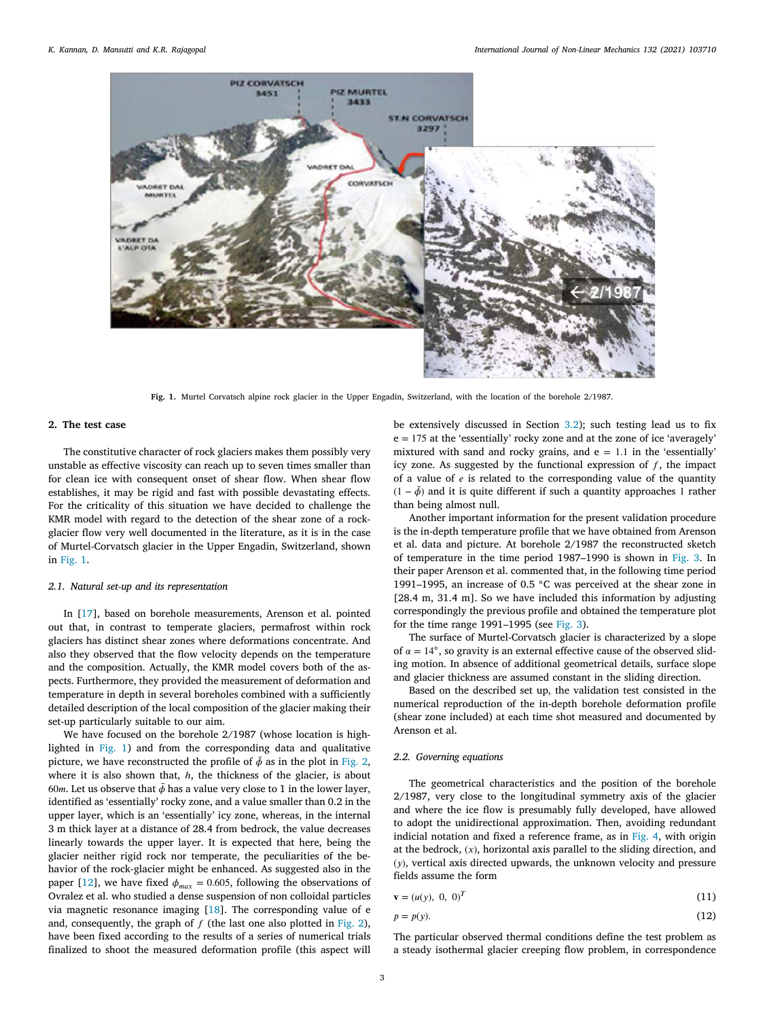

**Fig. 1.** Murtel Corvatsch alpine rock glacier in the Upper Engadin, Switzerland, with the location of the borehole 2/1987.

#### <span id="page-2-1"></span>**2. The test case**

<span id="page-2-0"></span>The constitutive character of rock glaciers makes them possibly very unstable as effective viscosity can reach up to seven times smaller than for clean ice with consequent onset of shear flow. When shear flow establishes, it may be rigid and fast with possible devastating effects. For the criticality of this situation we have decided to challenge the KMR model with regard to the detection of the shear zone of a rockglacier flow very well documented in the literature, as it is in the case of Murtel-Corvatsch glacier in the Upper Engadin, Switzerland, shown in [Fig. 1](#page-2-1).

#### *2.1. Natural set-up and its representation*

In [\[17](#page-10-7)], based on borehole measurements, Arenson et al. pointed out that, in contrast to temperate glaciers, permafrost within rock glaciers has distinct shear zones where deformations concentrate. And also they observed that the flow velocity depends on the temperature and the composition. Actually, the KMR model covers both of the aspects. Furthermore, they provided the measurement of deformation and temperature in depth in several boreholes combined with a sufficiently detailed description of the local composition of the glacier making their set-up particularly suitable to our aim.

We have focused on the borehole 2/1987 (whose location is highlighted in [Fig. 1](#page-2-1)) and from the corresponding data and qualitative picture, we have reconstructed the profile of  $\bar{\phi}$  as in the plot in [Fig. 2](#page-3-0), where it is also shown that, *ℎ*, the thickness of the glacier, is about 60*m*. Let us observe that  $\bar{\phi}$  has a value very close to 1 in the lower layer, identified as 'essentially' rocky zone, and a value smaller than 0.2 in the upper layer, which is an 'essentially' icy zone, whereas, in the internal 3 m thick layer at a distance of 28.4 from bedrock, the value decreases linearly towards the upper layer. It is expected that here, being the glacier neither rigid rock nor temperate, the peculiarities of the behavior of the rock-glacier might be enhanced. As suggested also in the paper[[12\]](#page-10-2), we have fixed  $\phi_{max} = 0.605$ , following the observations of Ovralez et al. who studied a dense suspension of non colloidal particles via magnetic resonance imaging [\[18](#page-10-8)]. The corresponding value of e and, consequently, the graph of  $f$  (the last one also plotted in [Fig. 2](#page-3-0)), have been fixed according to the results of a series of numerical trials finalized to shoot the measured deformation profile (this aspect will be extensively discussed in Section [3.2\)](#page-4-1); such testing lead us to fix  $e = 175$  at the 'essentially' rocky zone and at the zone of ice 'averagely' mixtured with sand and rocky grains, and  $e = 1.1$  in the 'essentially' icy zone. As suggested by the functional expression of  $f$ , the impact of a value of  $e$  is related to the corresponding value of the quantity  $(1 - \bar{\phi})$  and it is quite different if such a quantity approaches 1 rather than being almost null.

Another important information for the present validation procedure is the in-depth temperature profile that we have obtained from Arenson et al. data and picture. At borehole 2/1987 the reconstructed sketch of temperature in the time period 1987–1990 is shown in [Fig. 3.](#page-3-1) In their paper Arenson et al. commented that, in the following time period 1991–1995, an increase of 0.5 ◦C was perceived at the shear zone in [28.4 m, 31.4 m]. So we have included this information by adjusting correspondingly the previous profile and obtained the temperature plot for the time range 1991–1995 (see [Fig. 3\)](#page-3-1).

The surface of Murtel-Corvatsch glacier is characterized by a slope of  $\alpha = 14^\circ$ , so gravity is an external effective cause of the observed sliding motion. In absence of additional geometrical details, surface slope and glacier thickness are assumed constant in the sliding direction.

Based on the described set up, the validation test consisted in the numerical reproduction of the in-depth borehole deformation profile (shear zone included) at each time shot measured and documented by Arenson et al.

# *2.2. Governing equations*

The geometrical characteristics and the position of the borehole 2/1987, very close to the longitudinal symmetry axis of the glacier and where the ice flow is presumably fully developed, have allowed to adopt the unidirectional approximation. Then, avoiding redundant indicial notation and fixed a reference frame, as in [Fig. 4,](#page-3-2) with origin at the bedrock,  $(x)$ , horizontal axis parallel to the sliding direction, and  $(v)$ , vertical axis directed upwards, the unknown velocity and pressure fields assume the form

$$
\mathbf{v} = (u(y), \ 0, \ 0)^T \tag{11}
$$

$$
p = p(y). \tag{12}
$$

The particular observed thermal conditions define the test problem as a steady isothermal glacier creeping flow problem, in correspondence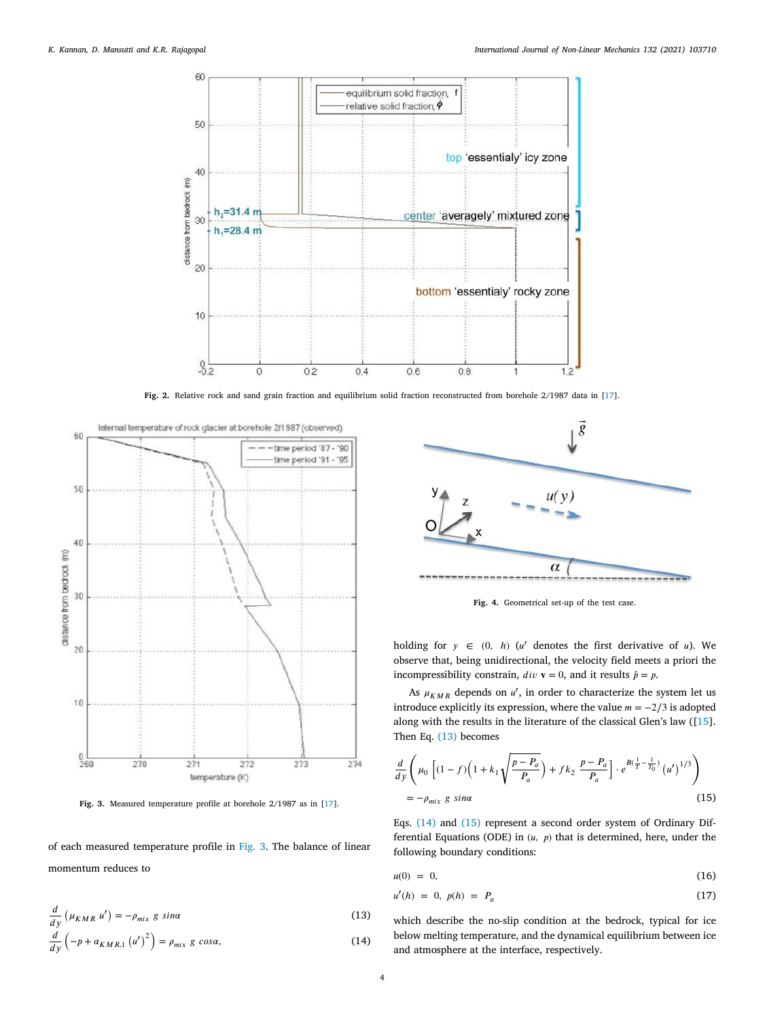

**Fig. 2.** Relative rock and sand grain fraction and equilibrium solid fraction reconstructed from borehole 2/1987 data in [\[17](#page-10-7)].

<span id="page-3-0"></span>

<span id="page-3-1"></span>**Fig. 3.** Measured temperature profile at borehole 2/1987 as in[[17\]](#page-10-7).

of each measured temperature profile in [Fig. 3.](#page-3-1) The balance of linear momentum reduces to

$$
\frac{d}{dy}\left(\mu_{KMR} u'\right) = -\rho_{mix} g \sin\alpha \tag{13}
$$

$$
\frac{d}{dy}\left(-p + \alpha_{KMR,1} \left(u'\right)^2\right) = \rho_{mix} \ g \ cos \alpha, \tag{14}
$$



<span id="page-3-5"></span>**Fig. 4.** Geometrical set-up of the test case.

<span id="page-3-2"></span>holding for  $y \in (0, h)$  (u' denotes the first derivative of u). We observe that, being unidirectional, the velocity field meets a priori the incompressibility constrain,  $div \mathbf{v} = 0$ , and it results  $\hat{p} = p$ .

As  $\mu_{KMR}$  depends on  $u'$ , in order to characterize the system let us introduce explicitly its expression, where the value  $m = -2/3$  is adopted along with the results in the literature of the classical Glen's law([\[15](#page-10-5)]. Then Eq. ([13\)](#page-3-3) becomes

$$
\frac{d}{dy}\left(\mu_0 \left[ (1-f)\left(1 + k_1 \sqrt{\frac{p - P_a}{P_a}}\right) + fk_2 \frac{p - P_a}{P_a} \right] \cdot e^{B(\frac{1}{T} - \frac{1}{T_0})} (u')^{1/3} \right)
$$
\n
$$
= -\rho_{mix} g \sin\alpha \tag{15}
$$

Eqs. [\(14](#page-3-4)) and [\(15](#page-3-5)) represent a second order system of Ordinary Differential Equations (ODE) in  $(u, p)$  that is determined, here, under the following boundary conditions:

$$
u(0) = 0,\t(16)
$$

<span id="page-3-7"></span><span id="page-3-6"></span>
$$
u'(h) = 0, \ p(h) = P_a \tag{17}
$$

<span id="page-3-4"></span><span id="page-3-3"></span>which describe the no-slip condition at the bedrock, typical for ice below melting temperature, and the dynamical equilibrium between ice and atmosphere at the interface, respectively.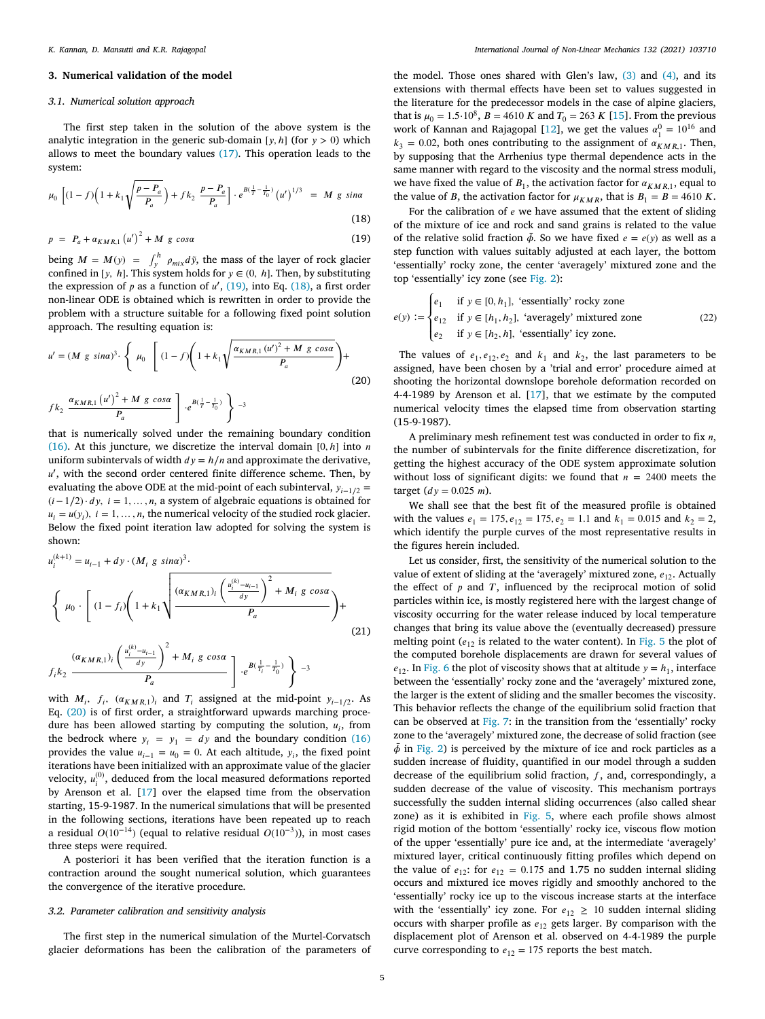#### **3. Numerical validation of the model**

#### <span id="page-4-0"></span>*3.1. Numerical solution approach*

The first step taken in the solution of the above system is the analytic integration in the generic sub-domain  $[y, h]$  (for  $y > 0$ ) which allows to meet the boundary values ([17\)](#page-3-6). This operation leads to the system:

$$
\mu_0 \left[ (1-f) \left( 1 + k_1 \sqrt{\frac{p - P_a}{P_a}} \right) + f k_2 \frac{p - P_a}{P_a} \right] \cdot e^{B(\frac{1}{T} - \frac{1}{T_0})} \left( u' \right)^{1/3} = M g \sin \alpha \tag{18}
$$

$$
p = P_a + \alpha_{KMR,1} (u')^2 + M g \cos \alpha \tag{19}
$$

being  $M = M(y) = \int_{y}^{h} \rho_{mix} d\tilde{y}$ , the mass of the layer of rock glacier confined in [*y, h*]. This system holds for  $y \in (0, h]$ . Then, by substituting the expression of  $p$  as a function of  $u'$ , [\(19](#page-4-2)), into Eq. ([18\)](#page-4-3), a first order non-linear ODE is obtained which is rewritten in order to provide the problem with a structure suitable for a following fixed point solution approach. The resulting equation is:

$$
u' = (M \ g \ sin\alpha)^3 \cdot \left\{ \mu_0 \left[ (1 - f) \left( 1 + k_1 \sqrt{\frac{\alpha_{KMR,1} (u')^2 + M \ g \ cos\alpha}{P_a}} \right) + \frac{1}{2} \right] \right\}
$$
\n
$$
f k_2 \frac{\alpha_{KMR,1} (u')^2 + M \ g \ cos\alpha}{P} \left[ e^{\beta (\frac{1}{T} - \frac{1}{T_0})} \right]^{-3}
$$
\n
$$
(20)
$$

 $P_a$ that is numerically solved under the remaining boundary condition ([16\)](#page-3-7). At this juncture, we discretize the interval domain [0*, ℎ*] into uniform subintervals of width  $dy = h/n$  and approximate the derivative, u', with the second order centered finite difference scheme. Then, by evaluating the above ODE at the mid-point of each subinterval,  $y_{i-1/2}$  =  $(i - 1/2) \cdot dy$ ,  $i = 1, \ldots, n$ , a system of algebraic equations is obtained for  $u_i = u(y_i)$ ,  $i = 1, ..., n$ , the numerical velocity of the studied rock glacier. Below the fixed point iteration law adopted for solving the system is shown:

$$
u_i^{(k+1)} = u_{i-1} + dy \cdot (M_i \, g \, \sin\alpha)^3.
$$
\n
$$
\left\{ \mu_0 \cdot \left[ (1 - f_i) \left( 1 + k_1 \sqrt{\frac{(\alpha_{KMR,1})_i \left( \frac{u_i^{(k)} - u_{i-1}}{dy} \right)^2 + M_i g \, \cos\alpha}{P_a} \right) + \right. \right.
$$
\n
$$
(\alpha_{KMR,1})_i \left( \frac{u_i^{(k)} - u_{i-1}}{dy} \right)^2 + M_i g \, \cos\alpha \left. \frac{1}{1 - \frac{1}{\alpha} + 1} \right) \right\}.
$$
\n(21)

$$
\int_{I}^{R_2} \frac{(\alpha_{KMR,1})_i \left( \frac{1}{dy} \right)^2 + M_i g \cos \alpha}{P_a} e^{-B(\frac{1}{T_i} - \frac{1}{T_0})} \Bigg\}^{-3}
$$
\nwith  $M = f$ ,  $(\alpha, \beta)$ , and  $T$ , assigned at the mid point  $y$ .

with  $M_i$ ,  $f_i$ ,  $(\alpha_{KMR,1})_i$  and  $T_i$  assigned at the mid-point  $y_{i-1/2}$ . As Eq. [\(20](#page-4-4)) is of first order, a straightforward upwards marching procedure has been allowed starting by computing the solution,  $u_i$ , from the bedrock where  $y_i = y_1 = dy$  and the boundary condition ([16\)](#page-3-7) provides the value  $u_{i-1} = u_0 = 0$ . At each altitude,  $y_i$ , the fixed point iterations have been initialized with an approximate value of the glacier velocity,  $u_i^{(0)}$ , deduced from the local measured deformations reported by Arenson et al.[[17\]](#page-10-7) over the elapsed time from the observation starting, 15-9-1987. In the numerical simulations that will be presented in the following sections, iterations have been repeated up to reach a residual  $O(10^{-14})$  (equal to relative residual  $O(10^{-3})$ ), in most cases three steps were required.

A posteriori it has been verified that the iteration function is a contraction around the sought numerical solution, which guarantees the convergence of the iterative procedure.

# *3.2. Parameter calibration and sensitivity analysis*

<span id="page-4-1"></span>The first step in the numerical simulation of the Murtel-Corvatsch glacier deformations has been the calibration of the parameters of the model. Those ones shared with Glen's law, ([3](#page-0-5)) and ([4](#page-0-4)), and its extensions with thermal effects have been set to values suggested in the literature for the predecessor models in the case of alpine glaciers, that is  $\mu_0 = 1.5 \cdot 10^8$ ,  $B = 4610 K$  and  $T_0 = 263 K$  [\[15](#page-10-5)]. From the previous work of Kannan and Rajagopal [\[12](#page-10-2)], we get the values  $\alpha_1^0 = 10^{16}$  and  $k_3 = 0.02$ , both ones contributing to the assignment of  $\alpha_{KMR,1}$ . Then, by supposing that the Arrhenius type thermal dependence acts in the same manner with regard to the viscosity and the normal stress moduli, we have fixed the value of  $B_1$ , the activation factor for  $a_{KMR,1}$ , equal to the value of *B*, the activation factor for  $\mu_{KMR}$ , that is  $B_1 = B = 4610 K$ .

<span id="page-4-3"></span><span id="page-4-2"></span>For the calibration of  $e$  we have assumed that the extent of sliding of the mixture of ice and rock and sand grains is related to the value of the relative solid fraction  $\bar{\phi}$ . So we have fixed  $e = e(y)$  as well as a step function with values suitably adjusted at each layer, the bottom 'essentially' rocky zone, the center 'averagely' mixtured zone and the top 'essentially' icy zone (see [Fig. 2](#page-3-0)):

$$
e(y) := \begin{cases} e_1 & \text{if } y \in [0, h_1], \text{ 'essentially' rocky zone} \\ e_{12} & \text{if } y \in [h_1, h_2], \text{ 'averagely' mixtured zone} \\ e_2 & \text{if } y \in [h_2, h], \text{ 'essentially' icy zone.} \end{cases} \tag{22}
$$

<span id="page-4-4"></span>The values of  $e_1, e_{12}, e_2$  and  $k_1$  and  $k_2$ , the last parameters to be assigned, have been chosen by a 'trial and error' procedure aimed at shooting the horizontal downslope borehole deformation recorded on 4-4-1989 by Arenson et al.[[17\]](#page-10-7), that we estimate by the computed numerical velocity times the elapsed time from observation starting (15-9-1987).

A preliminary mesh refinement test was conducted in order to fix  $n$ , the number of subintervals for the finite difference discretization, for getting the highest accuracy of the ODE system approximate solution without loss of significant digits: we found that  $n = 2400$  meets the target  $(dy = 0.025 m)$ .

We shall see that the best fit of the measured profile is obtained with the values  $e_1 = 175, e_{12} = 175, e_2 = 1.1$  and  $k_1 = 0.015$  and  $k_2 = 2$ , which identify the purple curves of the most representative results in the figures herein included.

Let us consider, first, the sensitivity of the numerical solution to the value of extent of sliding at the 'averagely' mixtured zone,  $e_{12}$ . Actually the effect of  $\nu$  and  $T$ , influenced by the reciprocal motion of solid particles within ice, is mostly registered here with the largest change of viscosity occurring for the water release induced by local temperature changes that bring its value above the (eventually decreased) pressure melting point ( $e_{12}$  is related to the water content). In [Fig. 5](#page-5-0) the plot of the computed borehole displacements are drawn for several values of  $e_{12}$ . In [Fig. 6](#page-5-1) the plot of viscosity shows that at altitude  $y = h_1$ , interface between the 'essentially' rocky zone and the 'averagely' mixtured zone, the larger is the extent of sliding and the smaller becomes the viscosity. This behavior reflects the change of the equilibrium solid fraction that can be observed at [Fig. 7](#page-6-0): in the transition from the 'essentially' rocky zone to the 'averagely' mixtured zone, the decrease of solid fraction (see  $\bar{\phi}$  in [Fig. 2](#page-3-0)) is perceived by the mixture of ice and rock particles as a sudden increase of fluidity, quantified in our model through a sudden decrease of the equilibrium solid fraction,  $f$ , and, correspondingly, a sudden decrease of the value of viscosity. This mechanism portrays successfully the sudden internal sliding occurrences (also called shear zone) as it is exhibited in [Fig. 5](#page-5-0), where each profile shows almost rigid motion of the bottom 'essentially' rocky ice, viscous flow motion of the upper 'essentially' pure ice and, at the intermediate 'averagely' mixtured layer, critical continuously fitting profiles which depend on the value of  $e_{12}$ : for  $e_{12} = 0.175$  and 1.75 no sudden internal sliding occurs and mixtured ice moves rigidly and smoothly anchored to the 'essentially' rocky ice up to the viscous increase starts at the interface with the 'essentially' icy zone. For  $e_{12} \geq 10$  sudden internal sliding occurs with sharper profile as  $e_{12}$  gets larger. By comparison with the displacement plot of Arenson et al. observed on 4-4-1989 the purple curve corresponding to  $e_{12} = 175$  reports the best match.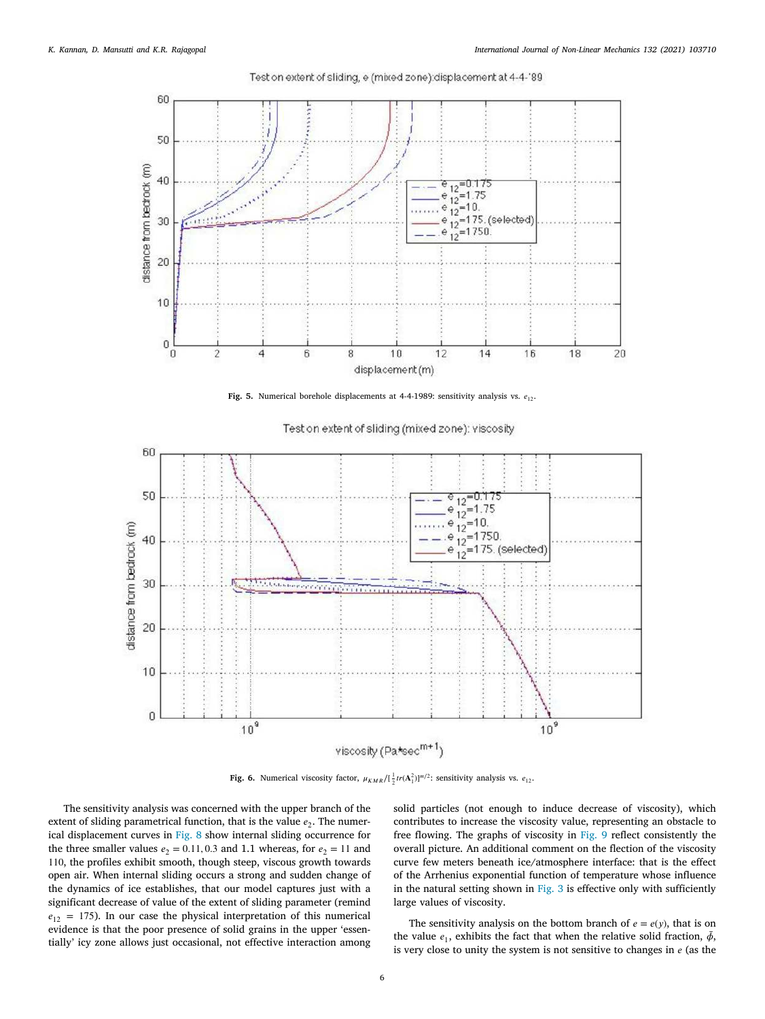

Test on extent of sliding, e (mixed zone): displacement at 4-4-'89



Test on extent of sliding (mixed zone): viscosity

<span id="page-5-0"></span>

**Fig. 6.** Numerical viscosity factor,  $\mu_{KMR}/[\frac{1}{2}tr(A_1^2)]^{m/2}$ : sensitivity analysis vs.  $e_{12}$ .

<span id="page-5-1"></span>The sensitivity analysis was concerned with the upper branch of the extent of sliding parametrical function, that is the value  $e_2$ . The numerical displacement curves in [Fig. 8](#page-6-1) show internal sliding occurrence for the three smaller values  $e_2 = 0.11, 0.3$  and 1.1 whereas, for  $e_2 = 11$  and 110, the profiles exhibit smooth, though steep, viscous growth towards open air. When internal sliding occurs a strong and sudden change of the dynamics of ice establishes, that our model captures just with a significant decrease of value of the extent of sliding parameter (remind  $e_{12}$  = 175). In our case the physical interpretation of this numerical evidence is that the poor presence of solid grains in the upper 'essentially' icy zone allows just occasional, not effective interaction among solid particles (not enough to induce decrease of viscosity), which contributes to increase the viscosity value, representing an obstacle to free flowing. The graphs of viscosity in [Fig. 9](#page-7-0) reflect consistently the overall picture. An additional comment on the flection of the viscosity curve few meters beneath ice/atmosphere interface: that is the effect of the Arrhenius exponential function of temperature whose influence in the natural setting shown in [Fig. 3](#page-3-1) is effective only with sufficiently large values of viscosity.

The sensitivity analysis on the bottom branch of  $e = e(y)$ , that is on the value  $e_1$ , exhibits the fact that when the relative solid fraction,  $\bar{\phi}$ , is very close to unity the system is not sensitive to changes in  $e$  (as the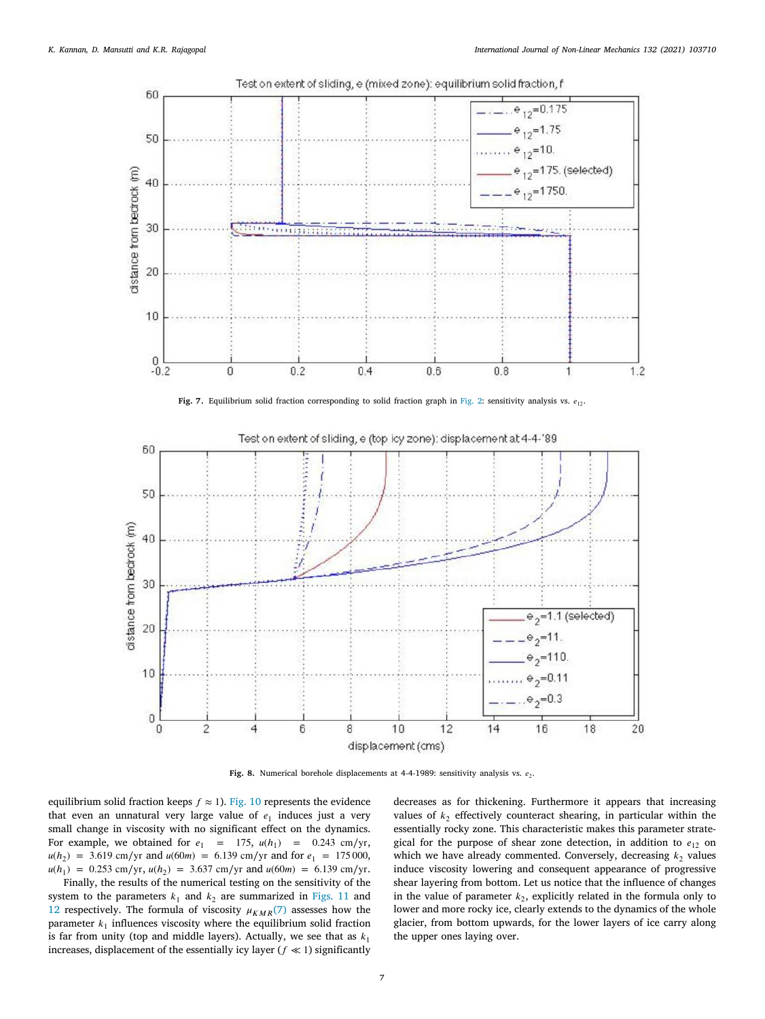

**Fig. 7.** Equilibrium solid fraction corresponding to solid fraction graph in [Fig. 2](#page-3-0): sensitivity analysis vs.  $e_1$ .

<span id="page-6-0"></span>

**Fig. 8.** Numerical borehole displacements at 4-4-1989: sensitivity analysis vs.  $e_2$ .

<span id="page-6-1"></span>equilibrium solid fraction keeps  $f \approx 1$ ). [Fig. 10](#page-7-1) represents the evidence that even an unnatural very large value of  $e_1$  induces just a very small change in viscosity with no significant effect on the dynamics. For example, we obtained for  $e_1 = 175$ ,  $u(h_1) = 0.243$  cm/yr,  $u(h_2) = 3.619 \text{ cm/yr}$  and  $u(60m) = 6.139 \text{ cm/yr}$  and for  $e_1 = 175\,000$ ,  $u(h_1) = 0.253$  cm/yr,  $u(h_2) = 3.637$  cm/yr and  $u(60m) = 6.139$  cm/yr.

Finally, the results of the numerical testing on the sensitivity of the system to the parameters  $k_1$  and  $k_2$  are summarized in [Figs. 11](#page-8-1) and [12](#page-8-2) respectively. The formula of viscosity  $\mu_{KMR}(7)$  $\mu_{KMR}(7)$  $\mu_{KMR}(7)$  assesses how the parameter  $k_1$  influences viscosity where the equilibrium solid fraction is far from unity (top and middle layers). Actually, we see that as  $k_1$ increases, displacement of the essentially icy layer ( $f \ll 1$ ) significantly decreases as for thickening. Furthermore it appears that increasing values of  $k_2$  effectively counteract shearing, in particular within the essentially rocky zone. This characteristic makes this parameter strategical for the purpose of shear zone detection, in addition to  $e_{12}$  on which we have already commented. Conversely, decreasing  $k_2$  values induce viscosity lowering and consequent appearance of progressive shear layering from bottom. Let us notice that the influence of changes in the value of parameter  $k_2$ , explicitly related in the formula only to lower and more rocky ice, clearly extends to the dynamics of the whole glacier, from bottom upwards, for the lower layers of ice carry along the upper ones laying over.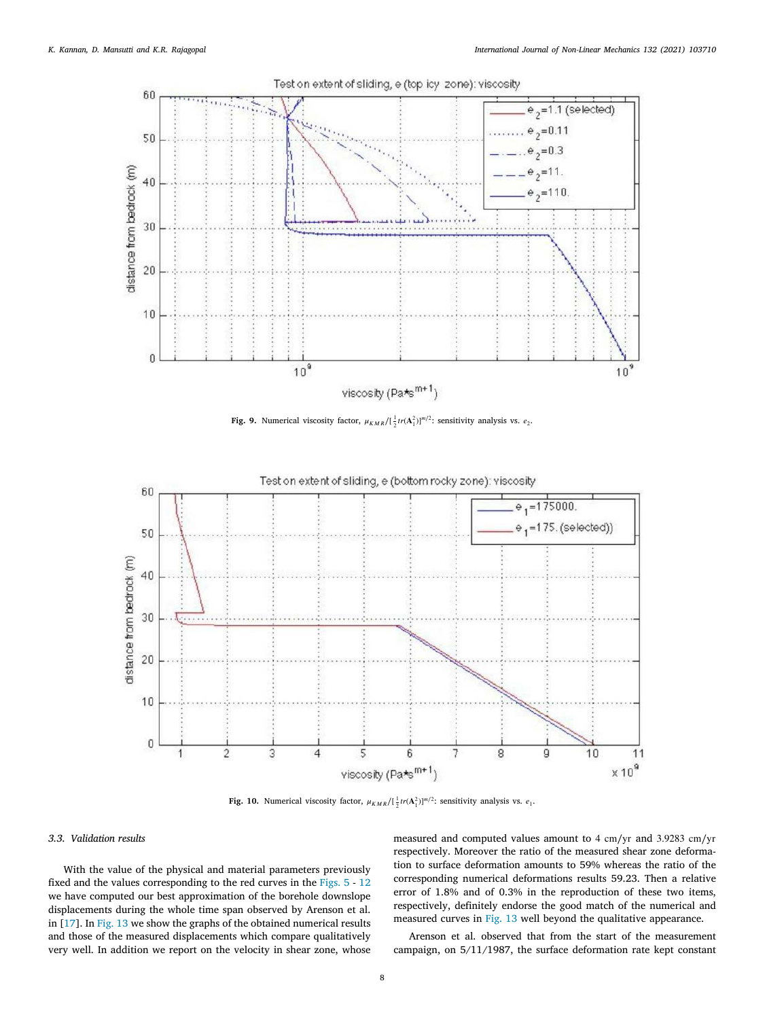

**Fig. 9.** Numerical viscosity factor,  $\mu_{KMR}/[\frac{1}{2}tr(A_1^2)]^{m/2}$ : sensitivity analysis vs.  $e_2$ .

<span id="page-7-0"></span>

**Fig. 10.** Numerical viscosity factor,  $\mu_{KMR}/[\frac{1}{2}tr(\mathbf{A}_1^2)]^{m/2}$ : sensitivity analysis vs.  $e_1$ .

#### <span id="page-7-1"></span>*3.3. Validation results*

With the value of the physical and material parameters previously fixed and the values corresponding to the red curves in the [Figs. 5](#page-5-0) - [12](#page-8-2) we have computed our best approximation of the borehole downslope displacements during the whole time span observed by Arenson et al. in[[17\]](#page-10-7). In [Fig. 13](#page-9-9) we show the graphs of the obtained numerical results and those of the measured displacements which compare qualitatively very well. In addition we report on the velocity in shear zone, whose measured and computed values amount to 4 cm∕yr and 3*.*9283 cm∕yr respectively. Moreover the ratio of the measured shear zone deformation to surface deformation amounts to 59% whereas the ratio of the corresponding numerical deformations results 59.23. Then a relative error of 1.8% and of 0.3% in the reproduction of these two items, respectively, definitely endorse the good match of the numerical and measured curves in [Fig. 13](#page-9-9) well beyond the qualitative appearance.

Arenson et al. observed that from the start of the measurement campaign, on 5/11/1987, the surface deformation rate kept constant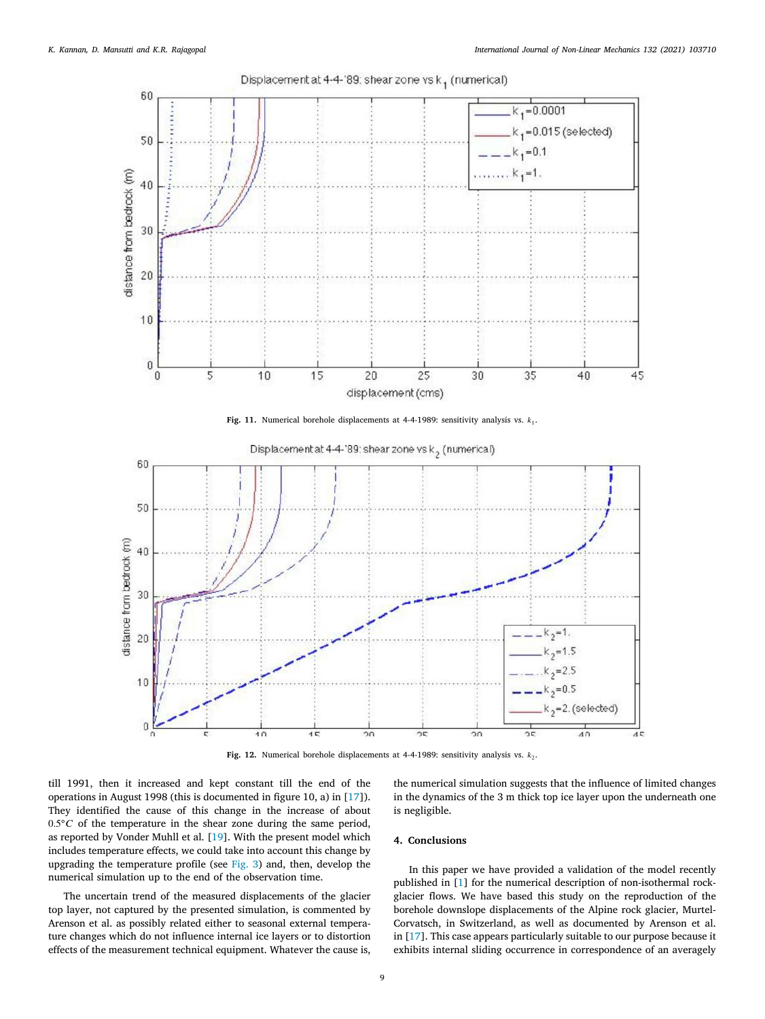<span id="page-8-1"></span>

Displacement at 4-4-'89: shear zone vs k, (numerical)

**Fig. 12.** Numerical borehole displacements at 4-4-1989: sensitivity analysis vs.  $k_2$ .

<span id="page-8-2"></span>till 1991, then it increased and kept constant till the end of the operations in August 1998 (this is documented in figure 10, a) in [\[17](#page-10-7)]). They identified the cause of this change in the increase of about  $0.5^{\circ}$ C of the temperature in the shear zone during the same period, as reported by Vonder Muhll et al.[[19\]](#page-10-9). With the present model which includes temperature effects, we could take into account this change by upgrading the temperature profile (see [Fig. 3](#page-3-1)) and, then, develop the numerical simulation up to the end of the observation time.

The uncertain trend of the measured displacements of the glacier top layer, not captured by the presented simulation, is commented by Arenson et al. as possibly related either to seasonal external temperature changes which do not influence internal ice layers or to distortion effects of the measurement technical equipment. Whatever the cause is,

the numerical simulation suggests that the influence of limited changes in the dynamics of the 3 m thick top ice layer upon the underneath one is negligible.

# **4. Conclusions**

<span id="page-8-0"></span>In this paper we have provided a validation of the model recently published in[[1](#page-9-0)] for the numerical description of non-isothermal rockglacier flows. We have based this study on the reproduction of the borehole downslope displacements of the Alpine rock glacier, Murtel-Corvatsch, in Switzerland, as well as documented by Arenson et al. in[[17\]](#page-10-7). This case appears particularly suitable to our purpose because it exhibits internal sliding occurrence in correspondence of an averagely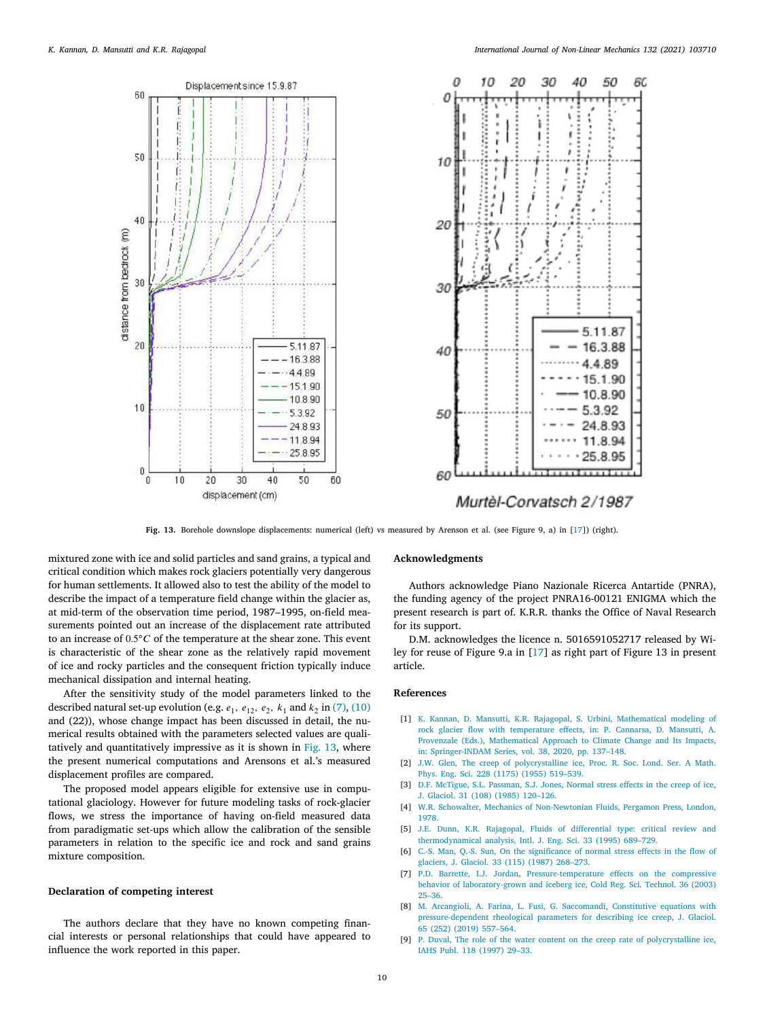

**Fig. 13.** Borehole downslope displacements: numerical (left) vs measured by Arenson et al. (see Figure 9, a) in[[17\]](#page-10-7)) (right).

<span id="page-9-9"></span>mixtured zone with ice and solid particles and sand grains, a typical and critical condition which makes rock glaciers potentially very dangerous for human settlements. It allowed also to test the ability of the model to describe the impact of a temperature field change within the glacier as, at mid-term of the observation time period, 1987–1995, on-field measurements pointed out an increase of the displacement rate attributed to an increase of  $0.5^{\circ}$ C of the temperature at the shear zone. This event is characteristic of the shear zone as the relatively rapid movement of ice and rocky particles and the consequent friction typically induce mechanical dissipation and internal heating.

After the sensitivity study of the model parameters linked to the described natural set-up evolution (e.g.  $e_1$ ,  $e_{12}$ ,  $e_2$ ,  $k_1$  and  $k_2$  in [\(7\)](#page-1-2), ([10\)](#page-1-3) and (22)), whose change impact has been discussed in detail, the numerical results obtained with the parameters selected values are qualitatively and quantitatively impressive as it is shown in [Fig. 13,](#page-9-9) where the present numerical computations and Arensons et al.'s measured displacement profiles are compared.

The proposed model appears eligible for extensive use in computational glaciology. However for future modeling tasks of rock-glacier flows, we stress the importance of having on-field measured data from paradigmatic set-ups which allow the calibration of the sensible parameters in relation to the specific ice and rock and sand grains mixture composition.

### **Declaration of competing interest**

The authors declare that they have no known competing financial interests or personal relationships that could have appeared to influence the work reported in this paper.

# **Acknowledgments**

Authors acknowledge Piano Nazionale Ricerca Antartide (PNRA), the funding agency of the project PNRA16-00121 ENIGMA which the present research is part of. K.R.R. thanks the Office of Naval Research for its support.

D.M. acknowledges the licence n. 5016591052717 released by Wiley for reuse of Figure 9.a in[[17\]](#page-10-7) as right part of Figure 13 in present article.

#### **References**

- <span id="page-9-0"></span>[1] [K. Kannan, D. Mansutti, K.R. Rajagopal, S. Urbini, Mathematical modeling of](http://refhub.elsevier.com/S0020-7462(21)00044-5/sb1) [rock glacier flow with temperature effects, in: P. Cannarsa, D. Mansutti, A.](http://refhub.elsevier.com/S0020-7462(21)00044-5/sb1) [Provenzale \(Eds.\), Mathematical Approach to Climate Change and Its Impacts,](http://refhub.elsevier.com/S0020-7462(21)00044-5/sb1) [in: Springer-INDAM Series, vol. 38, 2020, pp. 137–148.](http://refhub.elsevier.com/S0020-7462(21)00044-5/sb1)
- <span id="page-9-1"></span>[2] [J.W. Glen, The creep of polycrystalline ice, Proc. R. Soc. Lond. Ser. A Math.](http://refhub.elsevier.com/S0020-7462(21)00044-5/sb2) [Phys. Eng. Sci. 228 \(1175\) \(1955\) 519–539.](http://refhub.elsevier.com/S0020-7462(21)00044-5/sb2)
- <span id="page-9-2"></span>[3] [D.F. McTigue, S.L. Passman, S.J. Jones, Normal stress effects in the creep of ice,](http://refhub.elsevier.com/S0020-7462(21)00044-5/sb3) [J. Glaciol. 31 \(108\) \(1985\) 120–126.](http://refhub.elsevier.com/S0020-7462(21)00044-5/sb3)
- <span id="page-9-3"></span>[4] [W.R. Schowalter, Mechanics of Non-Newtonian Fluids, Pergamon Press, London,](http://refhub.elsevier.com/S0020-7462(21)00044-5/sb4) [1978.](http://refhub.elsevier.com/S0020-7462(21)00044-5/sb4)
- <span id="page-9-8"></span>[5] [J.E. Dunn, K.R. Rajagopal, Fluids of differential type: critical review and](http://refhub.elsevier.com/S0020-7462(21)00044-5/sb5) [thermodynamical analysis, Intl. J. Eng. Sci. 33 \(1995\) 689–729.](http://refhub.elsevier.com/S0020-7462(21)00044-5/sb5)
- <span id="page-9-4"></span>[6] [C.-S. Man, Q.-S. Sun, On the significance of normal stress effects in the flow of](http://refhub.elsevier.com/S0020-7462(21)00044-5/sb6) [glaciers, J. Glaciol. 33 \(115\) \(1987\) 268–273.](http://refhub.elsevier.com/S0020-7462(21)00044-5/sb6)
- <span id="page-9-5"></span>[7] [P.D. Barrette, I.J. Jordan, Pressure-temperature effects on the compressive](http://refhub.elsevier.com/S0020-7462(21)00044-5/sb7) [behavior of laboratory-grown and iceberg ice, Cold Reg. Sci. Technol. 36 \(2003\)](http://refhub.elsevier.com/S0020-7462(21)00044-5/sb7) [25–36.](http://refhub.elsevier.com/S0020-7462(21)00044-5/sb7)
- <span id="page-9-6"></span>[8] [M. Arcangioli, A. Farina, L. Fusi, G. Saccomandi, Constitutive equations with](http://refhub.elsevier.com/S0020-7462(21)00044-5/sb8) [pressure-dependent rheological parameters for describing ice creep, J. Glaciol.](http://refhub.elsevier.com/S0020-7462(21)00044-5/sb8) [65 \(252\) \(2019\) 557–564.](http://refhub.elsevier.com/S0020-7462(21)00044-5/sb8)
- <span id="page-9-7"></span>[9] [P. Duval, The role of the water content on the creep rate of polycrystalline ice,](http://refhub.elsevier.com/S0020-7462(21)00044-5/sb9) [IAHS Publ. 118 \(1997\) 29–33.](http://refhub.elsevier.com/S0020-7462(21)00044-5/sb9)